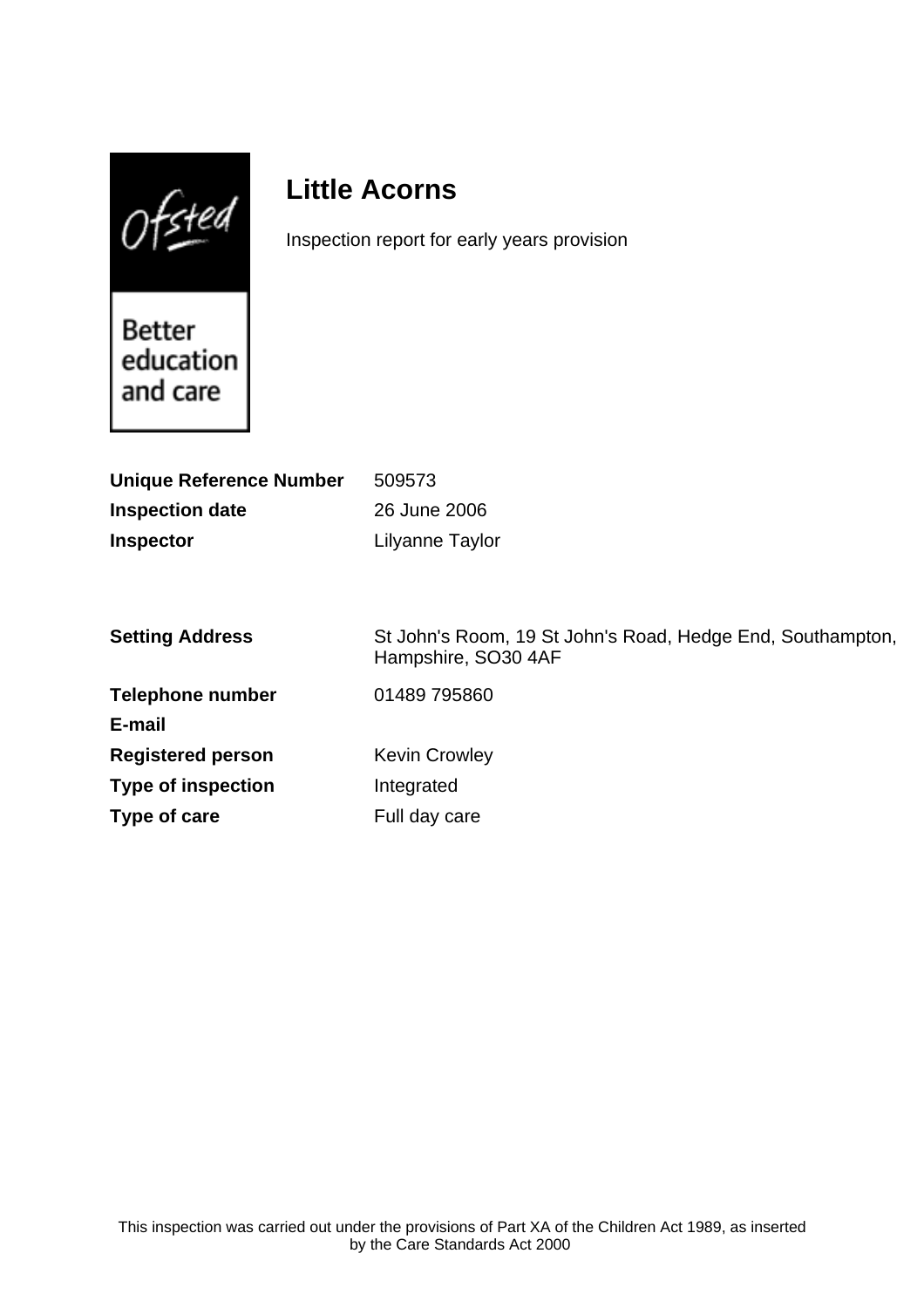$0$ fsted

# **Little Acorns**

**Type of care** Full day care

Inspection report for early years provision

Better<br>education and care

| <b>Unique Reference Number</b><br><b>Inspection date</b><br><b>Inspector</b> | 509573<br>26 June 2006<br>Lilyanne Taylor                                         |
|------------------------------------------------------------------------------|-----------------------------------------------------------------------------------|
| <b>Setting Address</b>                                                       | St John's Room, 19 St John's Road, Hedge End, Southampton,<br>Hampshire, SO30 4AF |
| <b>Telephone number</b>                                                      | 01489 795860                                                                      |
| E-mail                                                                       |                                                                                   |
| <b>Registered person</b>                                                     | <b>Kevin Crowley</b>                                                              |
| <b>Type of inspection</b>                                                    | Integrated                                                                        |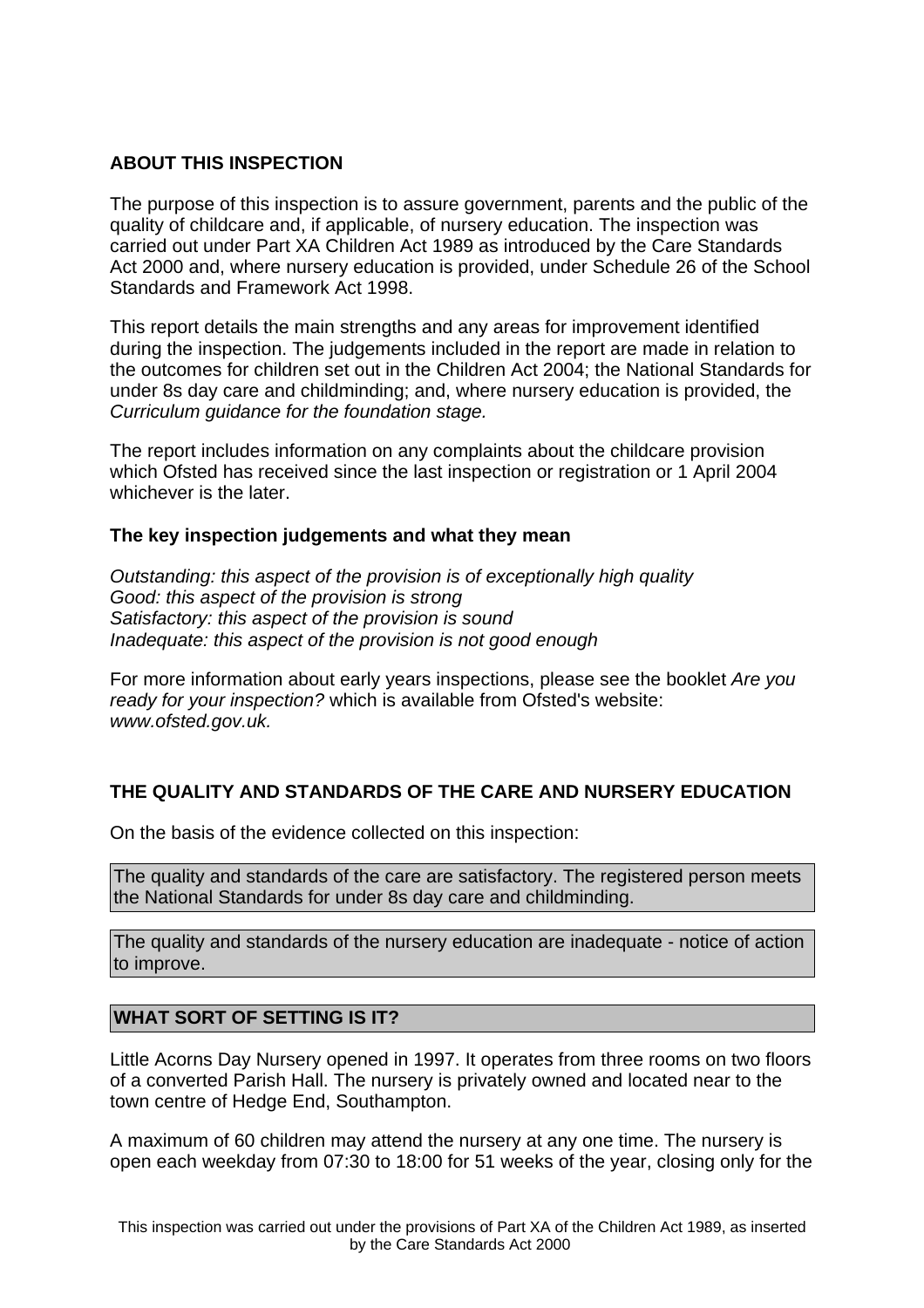## **ABOUT THIS INSPECTION**

The purpose of this inspection is to assure government, parents and the public of the quality of childcare and, if applicable, of nursery education. The inspection was carried out under Part XA Children Act 1989 as introduced by the Care Standards Act 2000 and, where nursery education is provided, under Schedule 26 of the School Standards and Framework Act 1998.

This report details the main strengths and any areas for improvement identified during the inspection. The judgements included in the report are made in relation to the outcomes for children set out in the Children Act 2004; the National Standards for under 8s day care and childminding; and, where nursery education is provided, the Curriculum guidance for the foundation stage.

The report includes information on any complaints about the childcare provision which Ofsted has received since the last inspection or registration or 1 April 2004 whichever is the later.

#### **The key inspection judgements and what they mean**

Outstanding: this aspect of the provision is of exceptionally high quality Good: this aspect of the provision is strong Satisfactory: this aspect of the provision is sound Inadequate: this aspect of the provision is not good enough

For more information about early years inspections, please see the booklet Are you ready for your inspection? which is available from Ofsted's website: www.ofsted.gov.uk.

# **THE QUALITY AND STANDARDS OF THE CARE AND NURSERY EDUCATION**

On the basis of the evidence collected on this inspection:

The quality and standards of the care are satisfactory. The registered person meets the National Standards for under 8s day care and childminding.

The quality and standards of the nursery education are inadequate - notice of action to improve.

#### **WHAT SORT OF SETTING IS IT?**

Little Acorns Day Nursery opened in 1997. It operates from three rooms on two floors of a converted Parish Hall. The nursery is privately owned and located near to the town centre of Hedge End, Southampton.

A maximum of 60 children may attend the nursery at any one time. The nursery is open each weekday from 07:30 to 18:00 for 51 weeks of the year, closing only for the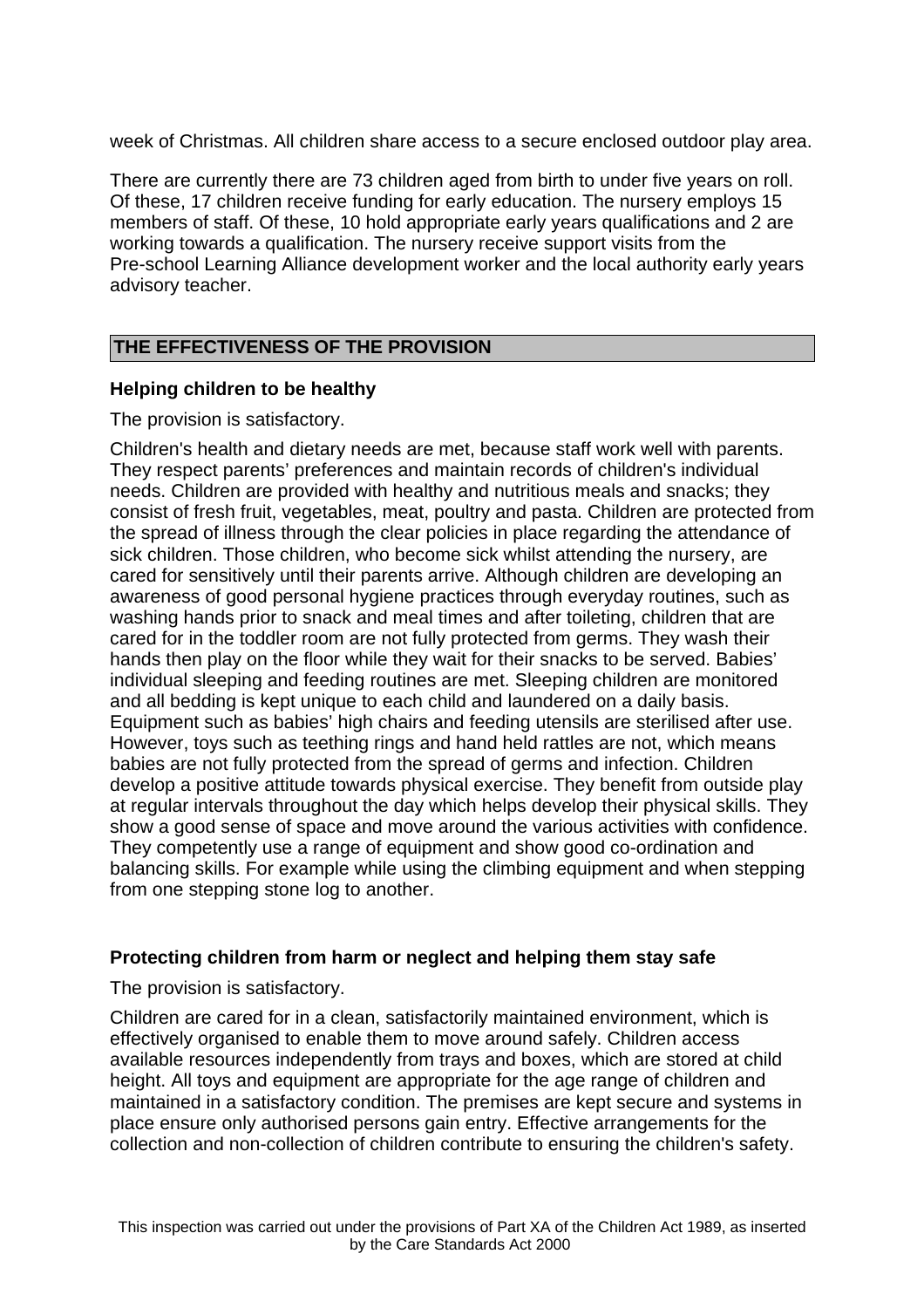week of Christmas. All children share access to a secure enclosed outdoor play area.

There are currently there are 73 children aged from birth to under five years on roll. Of these, 17 children receive funding for early education. The nursery employs 15 members of staff. Of these, 10 hold appropriate early years qualifications and 2 are working towards a qualification. The nursery receive support visits from the Pre-school Learning Alliance development worker and the local authority early years advisory teacher.

# **THE EFFECTIVENESS OF THE PROVISION**

#### **Helping children to be healthy**

The provision is satisfactory.

Children's health and dietary needs are met, because staff work well with parents. They respect parents' preferences and maintain records of children's individual needs. Children are provided with healthy and nutritious meals and snacks; they consist of fresh fruit, vegetables, meat, poultry and pasta. Children are protected from the spread of illness through the clear policies in place regarding the attendance of sick children. Those children, who become sick whilst attending the nursery, are cared for sensitively until their parents arrive. Although children are developing an awareness of good personal hygiene practices through everyday routines, such as washing hands prior to snack and meal times and after toileting, children that are cared for in the toddler room are not fully protected from germs. They wash their hands then play on the floor while they wait for their snacks to be served. Babies' individual sleeping and feeding routines are met. Sleeping children are monitored and all bedding is kept unique to each child and laundered on a daily basis. Equipment such as babies' high chairs and feeding utensils are sterilised after use. However, toys such as teething rings and hand held rattles are not, which means babies are not fully protected from the spread of germs and infection. Children develop a positive attitude towards physical exercise. They benefit from outside play at regular intervals throughout the day which helps develop their physical skills. They show a good sense of space and move around the various activities with confidence. They competently use a range of equipment and show good co-ordination and balancing skills. For example while using the climbing equipment and when stepping from one stepping stone log to another.

#### **Protecting children from harm or neglect and helping them stay safe**

The provision is satisfactory.

Children are cared for in a clean, satisfactorily maintained environment, which is effectively organised to enable them to move around safely. Children access available resources independently from trays and boxes, which are stored at child height. All toys and equipment are appropriate for the age range of children and maintained in a satisfactory condition. The premises are kept secure and systems in place ensure only authorised persons gain entry. Effective arrangements for the collection and non-collection of children contribute to ensuring the children's safety.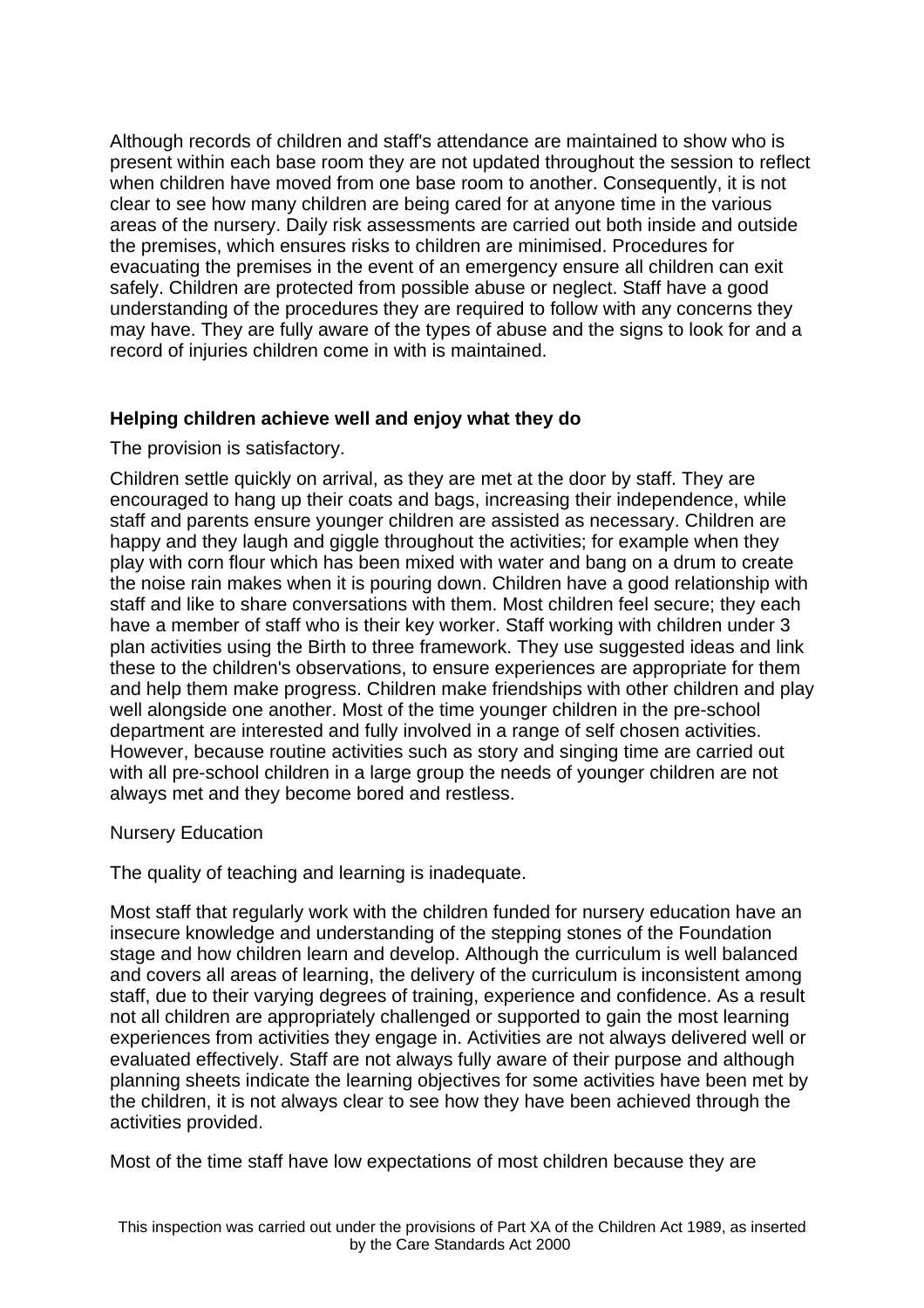Although records of children and staff's attendance are maintained to show who is present within each base room they are not updated throughout the session to reflect when children have moved from one base room to another. Consequently, it is not clear to see how many children are being cared for at anyone time in the various areas of the nursery. Daily risk assessments are carried out both inside and outside the premises, which ensures risks to children are minimised. Procedures for evacuating the premises in the event of an emergency ensure all children can exit safely. Children are protected from possible abuse or neglect. Staff have a good understanding of the procedures they are required to follow with any concerns they may have. They are fully aware of the types of abuse and the signs to look for and a record of injuries children come in with is maintained.

#### **Helping children achieve well and enjoy what they do**

The provision is satisfactory.

Children settle quickly on arrival, as they are met at the door by staff. They are encouraged to hang up their coats and bags, increasing their independence, while staff and parents ensure younger children are assisted as necessary. Children are happy and they laugh and giggle throughout the activities; for example when they play with corn flour which has been mixed with water and bang on a drum to create the noise rain makes when it is pouring down. Children have a good relationship with staff and like to share conversations with them. Most children feel secure; they each have a member of staff who is their key worker. Staff working with children under 3 plan activities using the Birth to three framework. They use suggested ideas and link these to the children's observations, to ensure experiences are appropriate for them and help them make progress. Children make friendships with other children and play well alongside one another. Most of the time younger children in the pre-school department are interested and fully involved in a range of self chosen activities. However, because routine activities such as story and singing time are carried out with all pre-school children in a large group the needs of younger children are not always met and they become bored and restless.

#### Nursery Education

The quality of teaching and learning is inadequate.

Most staff that regularly work with the children funded for nursery education have an insecure knowledge and understanding of the stepping stones of the Foundation stage and how children learn and develop. Although the curriculum is well balanced and covers all areas of learning, the delivery of the curriculum is inconsistent among staff, due to their varying degrees of training, experience and confidence. As a result not all children are appropriately challenged or supported to gain the most learning experiences from activities they engage in. Activities are not always delivered well or evaluated effectively. Staff are not always fully aware of their purpose and although planning sheets indicate the learning objectives for some activities have been met by the children, it is not always clear to see how they have been achieved through the activities provided.

Most of the time staff have low expectations of most children because they are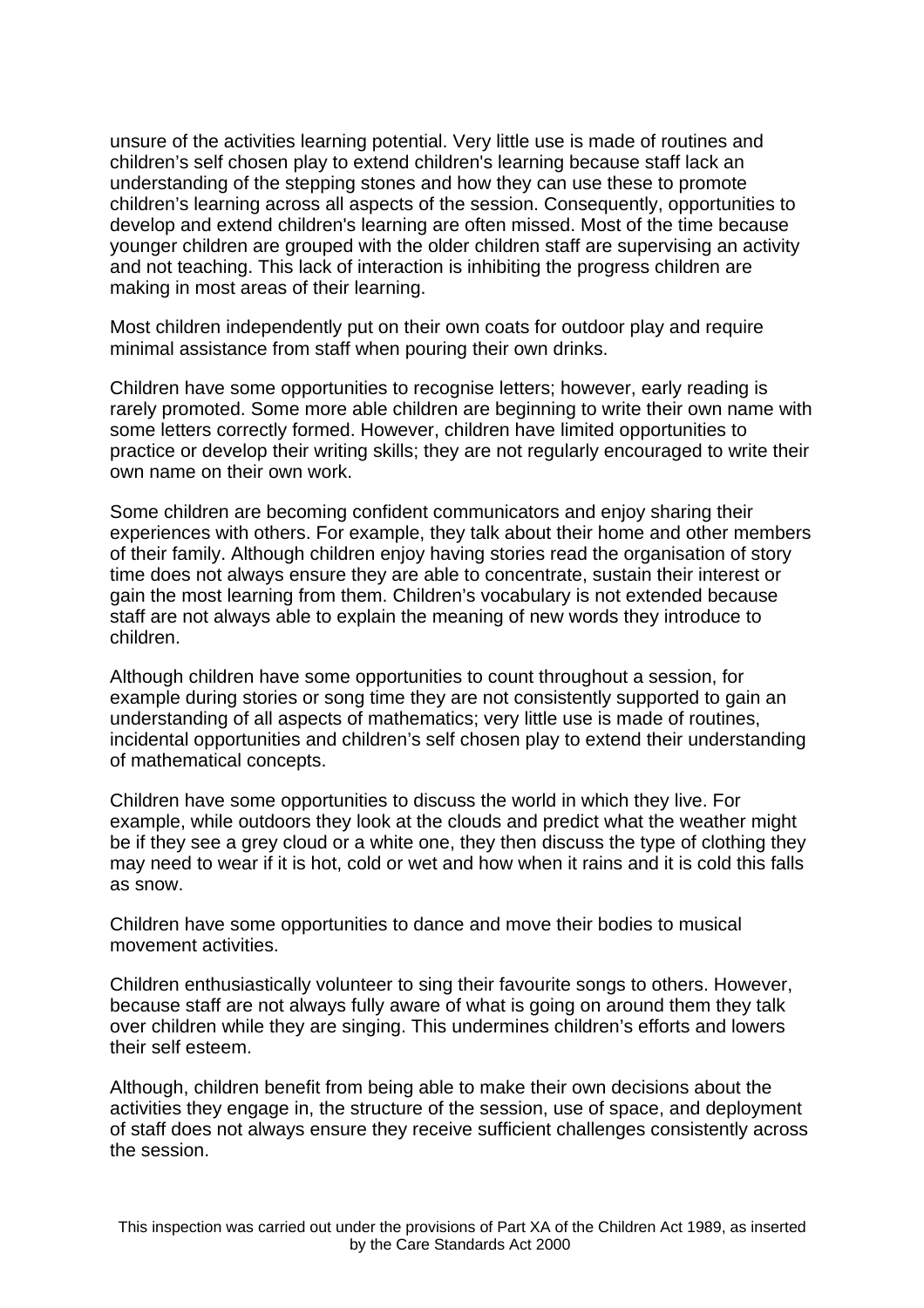unsure of the activities learning potential. Very little use is made of routines and children's self chosen play to extend children's learning because staff lack an understanding of the stepping stones and how they can use these to promote children's learning across all aspects of the session. Consequently, opportunities to develop and extend children's learning are often missed. Most of the time because younger children are grouped with the older children staff are supervising an activity and not teaching. This lack of interaction is inhibiting the progress children are making in most areas of their learning.

Most children independently put on their own coats for outdoor play and require minimal assistance from staff when pouring their own drinks.

Children have some opportunities to recognise letters; however, early reading is rarely promoted. Some more able children are beginning to write their own name with some letters correctly formed. However, children have limited opportunities to practice or develop their writing skills; they are not regularly encouraged to write their own name on their own work.

Some children are becoming confident communicators and enjoy sharing their experiences with others. For example, they talk about their home and other members of their family. Although children enjoy having stories read the organisation of story time does not always ensure they are able to concentrate, sustain their interest or gain the most learning from them. Children's vocabulary is not extended because staff are not always able to explain the meaning of new words they introduce to children.

Although children have some opportunities to count throughout a session, for example during stories or song time they are not consistently supported to gain an understanding of all aspects of mathematics; very little use is made of routines, incidental opportunities and children's self chosen play to extend their understanding of mathematical concepts.

Children have some opportunities to discuss the world in which they live. For example, while outdoors they look at the clouds and predict what the weather might be if they see a grey cloud or a white one, they then discuss the type of clothing they may need to wear if it is hot, cold or wet and how when it rains and it is cold this falls as snow.

Children have some opportunities to dance and move their bodies to musical movement activities.

Children enthusiastically volunteer to sing their favourite songs to others. However, because staff are not always fully aware of what is going on around them they talk over children while they are singing. This undermines children's efforts and lowers their self esteem.

Although, children benefit from being able to make their own decisions about the activities they engage in, the structure of the session, use of space, and deployment of staff does not always ensure they receive sufficient challenges consistently across the session.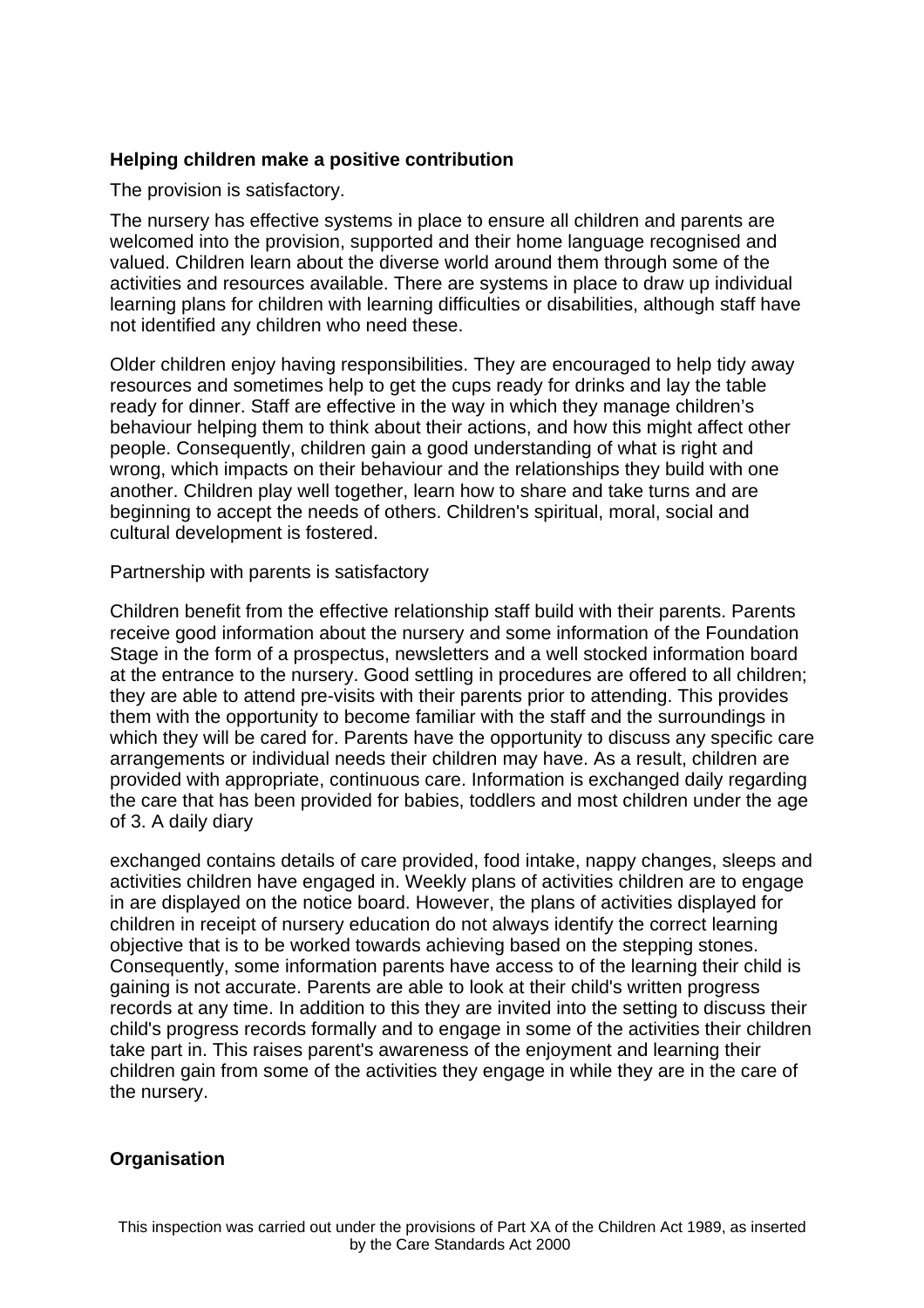## **Helping children make a positive contribution**

The provision is satisfactory.

The nursery has effective systems in place to ensure all children and parents are welcomed into the provision, supported and their home language recognised and valued. Children learn about the diverse world around them through some of the activities and resources available. There are systems in place to draw up individual learning plans for children with learning difficulties or disabilities, although staff have not identified any children who need these.

Older children enjoy having responsibilities. They are encouraged to help tidy away resources and sometimes help to get the cups ready for drinks and lay the table ready for dinner. Staff are effective in the way in which they manage children's behaviour helping them to think about their actions, and how this might affect other people. Consequently, children gain a good understanding of what is right and wrong, which impacts on their behaviour and the relationships they build with one another. Children play well together, learn how to share and take turns and are beginning to accept the needs of others. Children's spiritual, moral, social and cultural development is fostered.

Partnership with parents is satisfactory

Children benefit from the effective relationship staff build with their parents. Parents receive good information about the nursery and some information of the Foundation Stage in the form of a prospectus, newsletters and a well stocked information board at the entrance to the nursery. Good settling in procedures are offered to all children; they are able to attend pre-visits with their parents prior to attending. This provides them with the opportunity to become familiar with the staff and the surroundings in which they will be cared for. Parents have the opportunity to discuss any specific care arrangements or individual needs their children may have. As a result, children are provided with appropriate, continuous care. Information is exchanged daily regarding the care that has been provided for babies, toddlers and most children under the age of 3. A daily diary

exchanged contains details of care provided, food intake, nappy changes, sleeps and activities children have engaged in. Weekly plans of activities children are to engage in are displayed on the notice board. However, the plans of activities displayed for children in receipt of nursery education do not always identify the correct learning objective that is to be worked towards achieving based on the stepping stones. Consequently, some information parents have access to of the learning their child is gaining is not accurate. Parents are able to look at their child's written progress records at any time. In addition to this they are invited into the setting to discuss their child's progress records formally and to engage in some of the activities their children take part in. This raises parent's awareness of the enjoyment and learning their children gain from some of the activities they engage in while they are in the care of the nursery.

# **Organisation**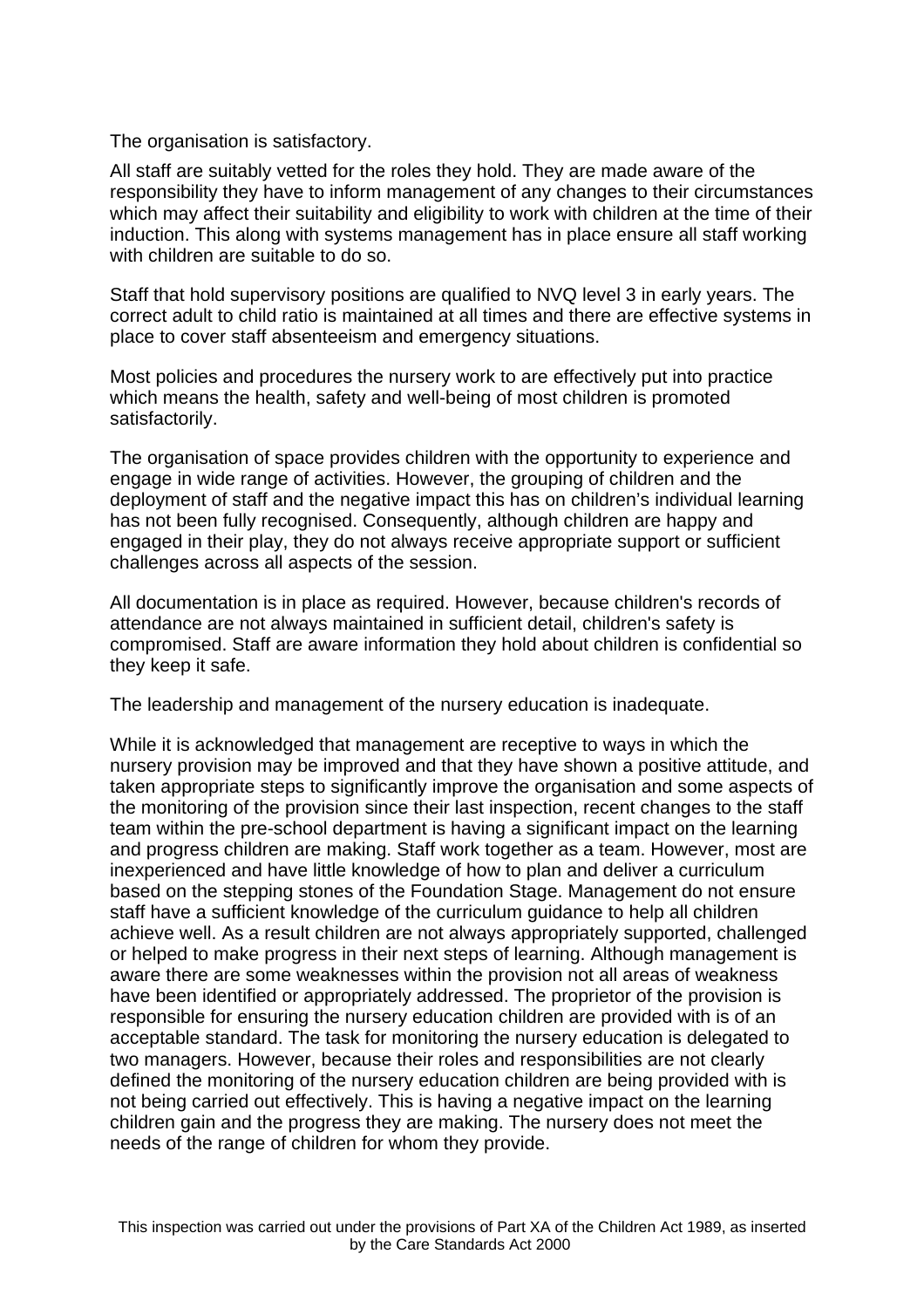The organisation is satisfactory.

All staff are suitably vetted for the roles they hold. They are made aware of the responsibility they have to inform management of any changes to their circumstances which may affect their suitability and eligibility to work with children at the time of their induction. This along with systems management has in place ensure all staff working with children are suitable to do so.

Staff that hold supervisory positions are qualified to NVQ level 3 in early years. The correct adult to child ratio is maintained at all times and there are effective systems in place to cover staff absenteeism and emergency situations.

Most policies and procedures the nursery work to are effectively put into practice which means the health, safety and well-being of most children is promoted satisfactorily.

The organisation of space provides children with the opportunity to experience and engage in wide range of activities. However, the grouping of children and the deployment of staff and the negative impact this has on children's individual learning has not been fully recognised. Consequently, although children are happy and engaged in their play, they do not always receive appropriate support or sufficient challenges across all aspects of the session.

All documentation is in place as required. However, because children's records of attendance are not always maintained in sufficient detail, children's safety is compromised. Staff are aware information they hold about children is confidential so they keep it safe.

The leadership and management of the nursery education is inadequate.

While it is acknowledged that management are receptive to ways in which the nursery provision may be improved and that they have shown a positive attitude, and taken appropriate steps to significantly improve the organisation and some aspects of the monitoring of the provision since their last inspection, recent changes to the staff team within the pre-school department is having a significant impact on the learning and progress children are making. Staff work together as a team. However, most are inexperienced and have little knowledge of how to plan and deliver a curriculum based on the stepping stones of the Foundation Stage. Management do not ensure staff have a sufficient knowledge of the curriculum guidance to help all children achieve well. As a result children are not always appropriately supported, challenged or helped to make progress in their next steps of learning. Although management is aware there are some weaknesses within the provision not all areas of weakness have been identified or appropriately addressed. The proprietor of the provision is responsible for ensuring the nursery education children are provided with is of an acceptable standard. The task for monitoring the nursery education is delegated to two managers. However, because their roles and responsibilities are not clearly defined the monitoring of the nursery education children are being provided with is not being carried out effectively. This is having a negative impact on the learning children gain and the progress they are making. The nursery does not meet the needs of the range of children for whom they provide.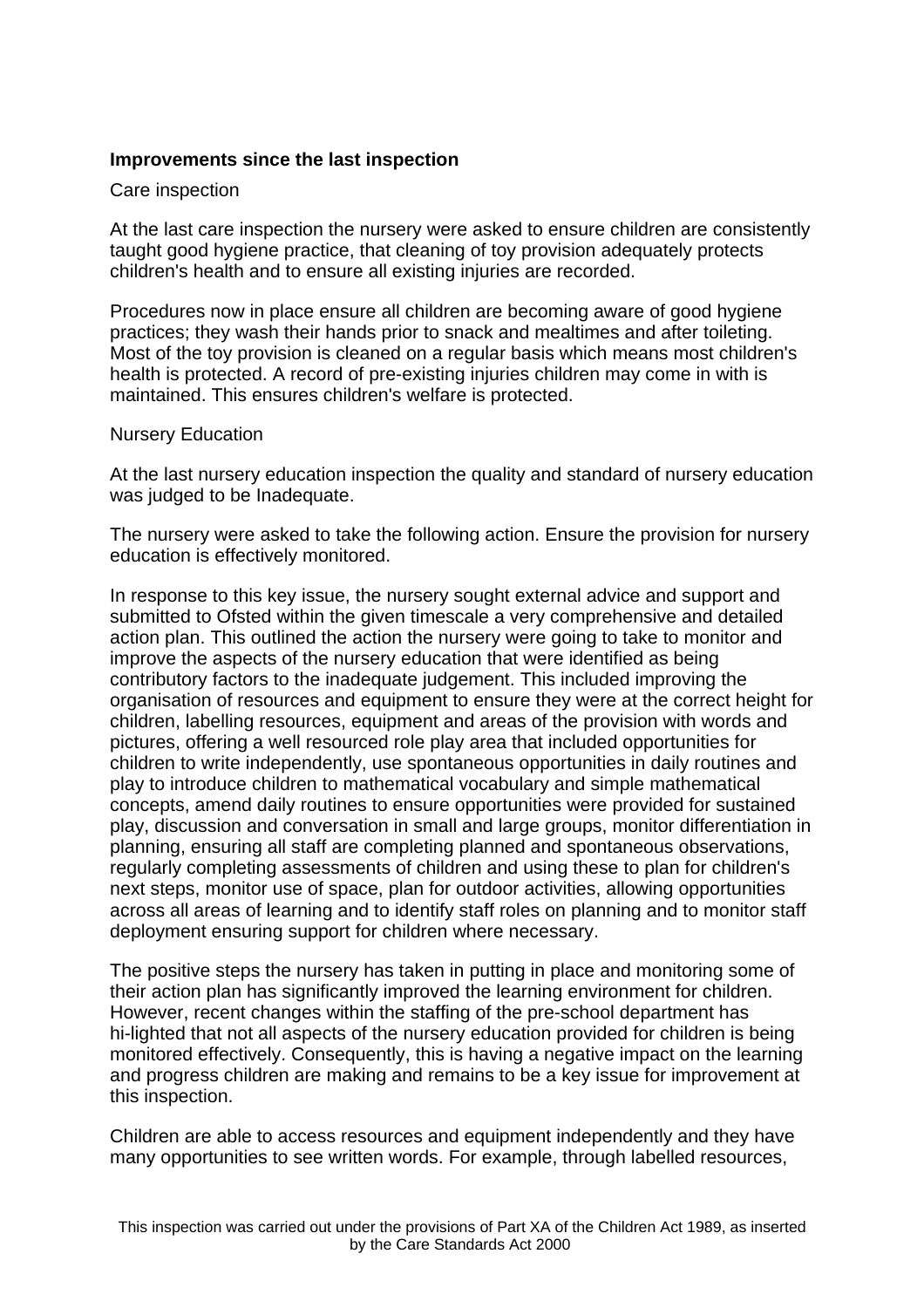### **Improvements since the last inspection**

#### Care inspection

At the last care inspection the nursery were asked to ensure children are consistently taught good hygiene practice, that cleaning of toy provision adequately protects children's health and to ensure all existing injuries are recorded.

Procedures now in place ensure all children are becoming aware of good hygiene practices; they wash their hands prior to snack and mealtimes and after toileting. Most of the toy provision is cleaned on a regular basis which means most children's health is protected. A record of pre-existing injuries children may come in with is maintained. This ensures children's welfare is protected.

#### Nursery Education

At the last nursery education inspection the quality and standard of nursery education was judged to be Inadequate.

The nursery were asked to take the following action. Ensure the provision for nursery education is effectively monitored.

In response to this key issue, the nursery sought external advice and support and submitted to Ofsted within the given timescale a very comprehensive and detailed action plan. This outlined the action the nursery were going to take to monitor and improve the aspects of the nursery education that were identified as being contributory factors to the inadequate judgement. This included improving the organisation of resources and equipment to ensure they were at the correct height for children, labelling resources, equipment and areas of the provision with words and pictures, offering a well resourced role play area that included opportunities for children to write independently, use spontaneous opportunities in daily routines and play to introduce children to mathematical vocabulary and simple mathematical concepts, amend daily routines to ensure opportunities were provided for sustained play, discussion and conversation in small and large groups, monitor differentiation in planning, ensuring all staff are completing planned and spontaneous observations, regularly completing assessments of children and using these to plan for children's next steps, monitor use of space, plan for outdoor activities, allowing opportunities across all areas of learning and to identify staff roles on planning and to monitor staff deployment ensuring support for children where necessary.

The positive steps the nursery has taken in putting in place and monitoring some of their action plan has significantly improved the learning environment for children. However, recent changes within the staffing of the pre-school department has hi-lighted that not all aspects of the nursery education provided for children is being monitored effectively. Consequently, this is having a negative impact on the learning and progress children are making and remains to be a key issue for improvement at this inspection.

Children are able to access resources and equipment independently and they have many opportunities to see written words. For example, through labelled resources,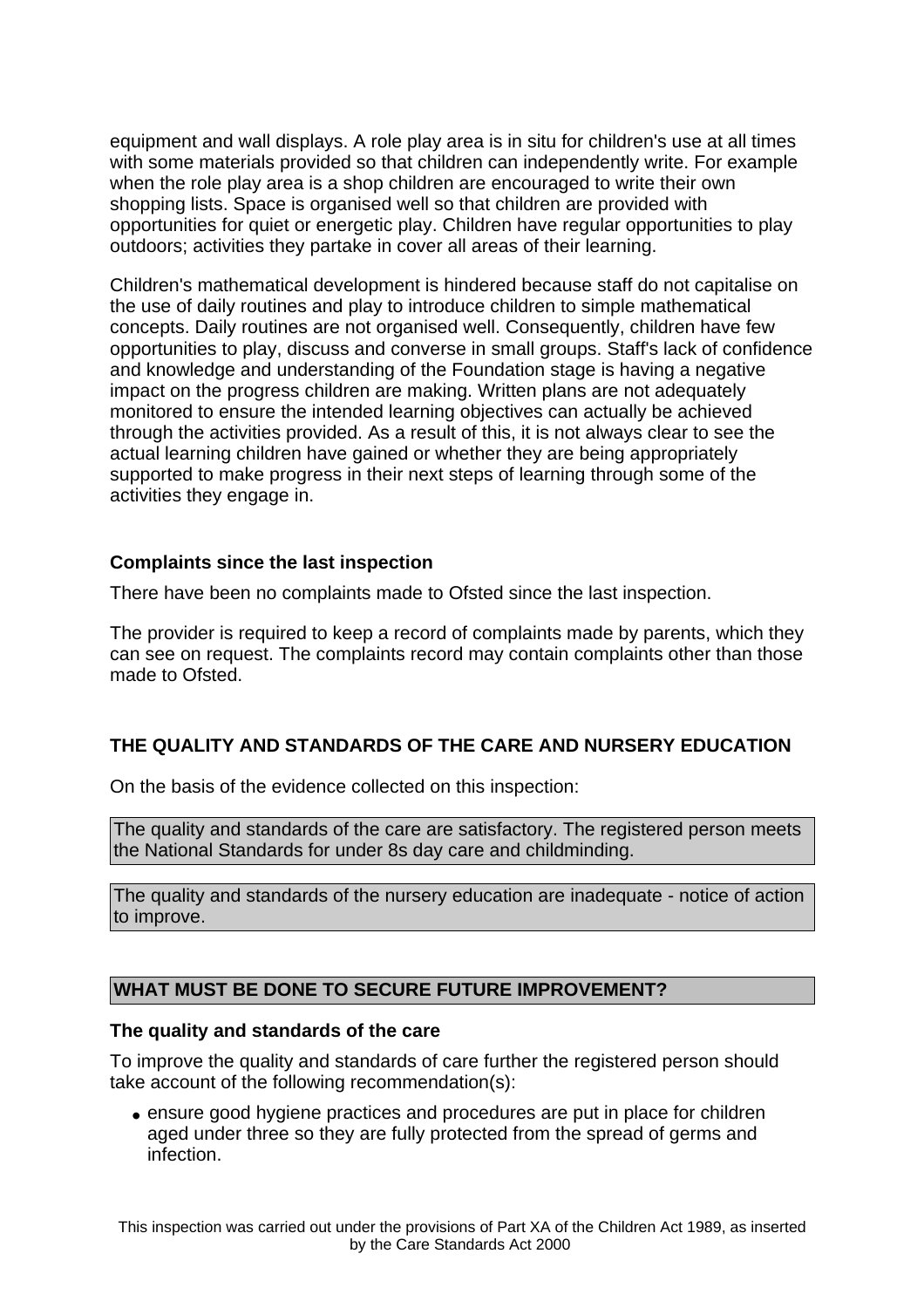equipment and wall displays. A role play area is in situ for children's use at all times with some materials provided so that children can independently write. For example when the role play area is a shop children are encouraged to write their own shopping lists. Space is organised well so that children are provided with opportunities for quiet or energetic play. Children have regular opportunities to play outdoors; activities they partake in cover all areas of their learning.

Children's mathematical development is hindered because staff do not capitalise on the use of daily routines and play to introduce children to simple mathematical concepts. Daily routines are not organised well. Consequently, children have few opportunities to play, discuss and converse in small groups. Staff's lack of confidence and knowledge and understanding of the Foundation stage is having a negative impact on the progress children are making. Written plans are not adequately monitored to ensure the intended learning objectives can actually be achieved through the activities provided. As a result of this, it is not always clear to see the actual learning children have gained or whether they are being appropriately supported to make progress in their next steps of learning through some of the activities they engage in.

## **Complaints since the last inspection**

There have been no complaints made to Ofsted since the last inspection.

The provider is required to keep a record of complaints made by parents, which they can see on request. The complaints record may contain complaints other than those made to Ofsted.

# **THE QUALITY AND STANDARDS OF THE CARE AND NURSERY EDUCATION**

On the basis of the evidence collected on this inspection:

The quality and standards of the care are satisfactory. The registered person meets the National Standards for under 8s day care and childminding.

The quality and standards of the nursery education are inadequate - notice of action to improve.

# **WHAT MUST BE DONE TO SECURE FUTURE IMPROVEMENT?**

#### **The quality and standards of the care**

To improve the quality and standards of care further the registered person should take account of the following recommendation(s):

• ensure good hygiene practices and procedures are put in place for children aged under three so they are fully protected from the spread of germs and infection.